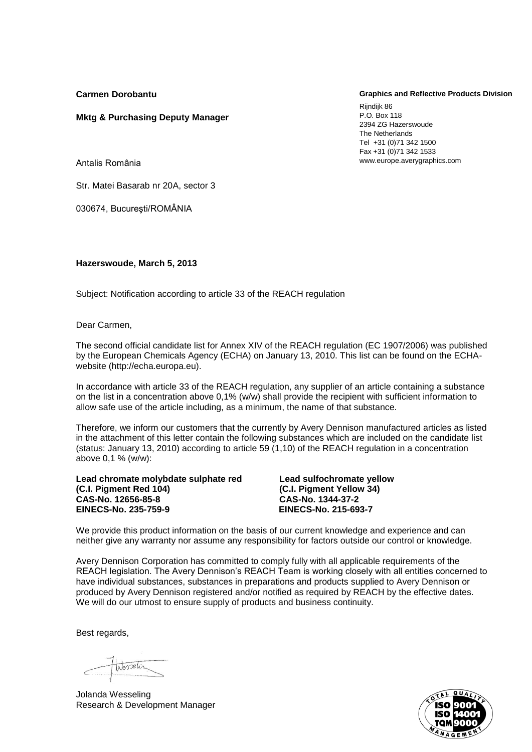**Carmen Dorobantu**

## **Graphics and Reflective Products Division**

Rijndijk 86 P.O. Box 118 2394 ZG Hazerswoude The Netherlands Tel +31 (0)71 342 1500 Fax +31 (0)71 342 1533 www.europe.averygraphics.com

Antalis România

Str. Matei Basarab nr 20A, sector 3

**Mktg & Purchasing Deputy Manager**

030674, Bucureşti/ROMÂNIA

**Hazerswoude, March 5, 2013**

Subject: Notification according to article 33 of the REACH regulation

Dear Carmen,

The second official candidate list for Annex XIV of the REACH regulation (EC 1907/2006) was published by the European Chemicals Agency (ECHA) on January 13, 2010. This list can be found on the ECHAwebsite (http://echa.europa.eu).

In accordance with article 33 of the REACH regulation, any supplier of an article containing a substance on the list in a concentration above 0,1% (w/w) shall provide the recipient with sufficient information to allow safe use of the article including, as a minimum, the name of that substance.

Therefore, we inform our customers that the currently by Avery Dennison manufactured articles as listed in the attachment of this letter contain the following substances which are included on the candidate list (status: January 13, 2010) according to article 59 (1,10) of the REACH regulation in a concentration above 0,1 % (w/w):

**Lead chromate molybdate sulphate red Lead sulfochromate yellow (C.I. Pigment Red 104) (C.I. Pigment Yellow 34) CAS-No. 12656-85-8 CAS-No. 1344-37-2 EINECS-No. 235-759-9 EINECS-No. 215-693-7**

We provide this product information on the basis of our current knowledge and experience and can neither give any warranty nor assume any responsibility for factors outside our control or knowledge.

Avery Dennison Corporation has committed to comply fully with all applicable requirements of the REACH legislation. The Avery Dennison's REACH Team is working closely with all entities concerned to have individual substances, substances in preparations and products supplied to Avery Dennison or produced by Avery Dennison registered and/or notified as required by REACH by the effective dates. We will do our utmost to ensure supply of products and business continuity.

Best regards,

Wesselin

Jolanda Wesseling Research & Development Manager